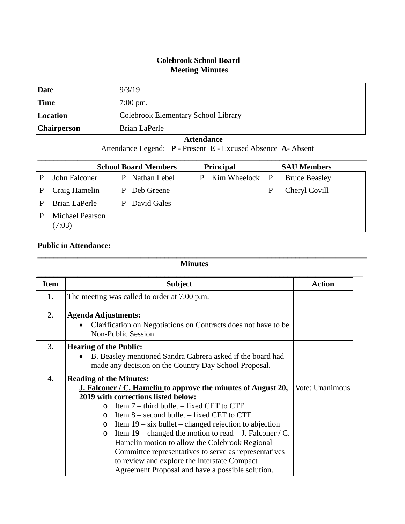## **Colebrook School Board Meeting Minutes**

| Date        | 9/3/19                              |
|-------------|-------------------------------------|
| <b>Time</b> | $7:00 \text{ pm}$ .                 |
| Location    | Colebrook Elementary School Library |
| Chairperson | Brian LaPerle                       |

## **Attendance**

Attendance Legend: **P** - Present **E** - Excused Absence **A**- Absent

| <b>School Board Members</b>      |   |              | <b>Principal</b> |              | <b>SAU Members</b> |                      |
|----------------------------------|---|--------------|------------------|--------------|--------------------|----------------------|
| John Falconer                    | P | Nathan Lebel | P                | Kim Wheelock | P                  | <b>Bruce Beasley</b> |
| Craig Hamelin                    | P | Deb Greene   |                  |              |                    | Cheryl Covill        |
| Brian LaPerle                    | P | David Gales  |                  |              |                    |                      |
| <b>Michael Pearson</b><br>(7:03) |   |              |                  |              |                    |                      |

## **Public in Attendance:**

## **Minutes**

**\_\_\_\_\_\_\_\_\_\_\_\_\_\_\_\_\_\_\_\_\_\_\_\_\_\_\_\_\_\_\_\_\_\_\_\_\_\_\_\_\_\_\_\_\_\_\_\_\_\_\_\_\_\_\_\_\_\_\_\_\_\_\_\_\_\_\_\_\_\_\_\_\_\_\_\_\_\_\_\_\_\_\_**

| <b>Item</b> | <b>Subject</b>                                                                                                                                                                                                                                                                                                                                                                                                                                                                                                      | <b>Action</b>   |
|-------------|---------------------------------------------------------------------------------------------------------------------------------------------------------------------------------------------------------------------------------------------------------------------------------------------------------------------------------------------------------------------------------------------------------------------------------------------------------------------------------------------------------------------|-----------------|
| 1.          | The meeting was called to order at 7:00 p.m.                                                                                                                                                                                                                                                                                                                                                                                                                                                                        |                 |
| 2.          | <b>Agenda Adjustments:</b><br>Clarification on Negotiations on Contracts does not have to be<br><b>Non-Public Session</b>                                                                                                                                                                                                                                                                                                                                                                                           |                 |
| 3.          | <b>Hearing of the Public:</b><br>B. Beasley mentioned Sandra Cabrera asked if the board had<br>made any decision on the Country Day School Proposal.                                                                                                                                                                                                                                                                                                                                                                |                 |
| 4.          | <b>Reading of the Minutes:</b><br><b>J. Falconer / C. Hamelin to approve the minutes of August 20,</b>                                                                                                                                                                                                                                                                                                                                                                                                              | Vote: Unanimous |
|             | 2019 with corrections listed below:<br>Item $7$ – third bullet – fixed CET to CTE<br>$\Omega$<br>Item $8$ – second bullet – fixed CET to CTE<br>$\Omega$<br>Item $19 - six$ bullet – changed rejection to abjection<br>$\circ$<br>Item 19 – changed the motion to read – J. Falconer / C.<br>$\circ$<br>Hamelin motion to allow the Colebrook Regional<br>Committee representatives to serve as representatives<br>to review and explore the Interstate Compact<br>Agreement Proposal and have a possible solution. |                 |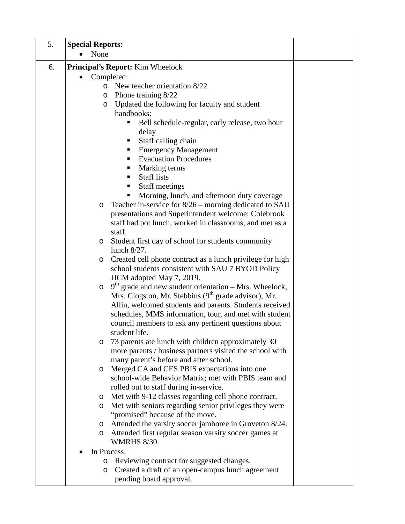| 5. | <b>Special Reports:</b>                                                                                           |  |
|----|-------------------------------------------------------------------------------------------------------------------|--|
|    | None                                                                                                              |  |
| 6. | <b>Principal's Report:</b> Kim Wheelock                                                                           |  |
|    | Completed:                                                                                                        |  |
|    | New teacher orientation 8/22<br>$\circ$                                                                           |  |
|    | Phone training 8/22<br>O                                                                                          |  |
|    | Updated the following for faculty and student<br>O                                                                |  |
|    | handbooks:                                                                                                        |  |
|    | Bell schedule-regular, early release, two hour                                                                    |  |
|    | delay                                                                                                             |  |
|    | Staff calling chain                                                                                               |  |
|    | <b>Emergency Management</b><br><b>Evacuation Procedures</b><br>٠                                                  |  |
|    | Marking terms                                                                                                     |  |
|    | <b>Staff lists</b>                                                                                                |  |
|    | <b>Staff meetings</b>                                                                                             |  |
|    | Morning, lunch, and afternoon duty coverage                                                                       |  |
|    | Teacher in-service for 8/26 – morning dedicated to SAU<br>$\circ$                                                 |  |
|    | presentations and Superintendent welcome; Colebrook                                                               |  |
|    | staff had pot lunch, worked in classrooms, and met as a                                                           |  |
|    | staff.                                                                                                            |  |
|    | Student first day of school for students community<br>$\circ$                                                     |  |
|    | lunch 8/27.                                                                                                       |  |
|    | Created cell phone contract as a lunch privilege for high<br>$\circ$                                              |  |
|    | school students consistent with SAU 7 BYOD Policy                                                                 |  |
|    | JICM adopted May 7, 2019.                                                                                         |  |
|    | $9th$ grade and new student orientation – Mrs. Wheelock,<br>$\circ$                                               |  |
|    | Mrs. Clogston, Mr. Stebbins (9 <sup>th</sup> grade advisor), Mr.                                                  |  |
|    | Allin, welcomed students and parents. Students received<br>schedules, MMS information, tour, and met with student |  |
|    | council members to ask any pertinent questions about                                                              |  |
|    | student life.                                                                                                     |  |
|    | 73 parents ate lunch with children approximately 30<br>O                                                          |  |
|    | more parents / business partners visited the school with                                                          |  |
|    | many parent's before and after school.                                                                            |  |
|    | Merged CA and CES PBIS expectations into one<br>$\circ$                                                           |  |
|    | school-wide Behavior Matrix; met with PBIS team and                                                               |  |
|    | rolled out to staff during in-service.                                                                            |  |
|    | Met with 9-12 classes regarding cell phone contract.<br>$\circ$                                                   |  |
|    | Met with seniors regarding senior privileges they were<br>$\circ$                                                 |  |
|    | "promised" because of the move.                                                                                   |  |
|    | Attended the varsity soccer jamboree in Groveton 8/24.<br>$\circ$                                                 |  |
|    | Attended first regular season varsity soccer games at<br>$\circ$<br><b>WMRHS 8/30.</b>                            |  |
|    | In Process:                                                                                                       |  |
|    | Reviewing contract for suggested changes.<br>O                                                                    |  |
|    | Created a draft of an open-campus lunch agreement<br>$\circ$<br>pending board approval.                           |  |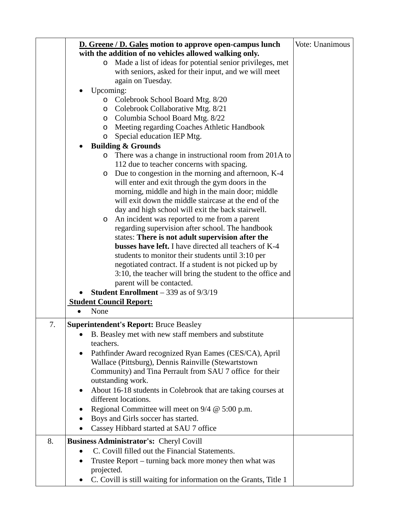|    | <b>D.</b> Greene / D. Gales motion to approve open-campus lunch<br>with the addition of no vehicles allowed walking only.<br>Made a list of ideas for potential senior privileges, met<br>$\circ$<br>with seniors, asked for their input, and we will meet<br>again on Tuesday.<br>Upcoming:<br>Colebrook School Board Mtg. 8/20<br>$\circ$<br>Colebrook Collaborative Mtg. 8/21<br>O<br>Columbia School Board Mtg. 8/22<br>$\circ$<br>Meeting regarding Coaches Athletic Handbook<br>$\circ$<br>Special education IEP Mtg.<br>O<br><b>Building &amp; Grounds</b><br>There was a change in instructional room from 201A to<br>$\circ$<br>112 due to teacher concerns with spacing.<br>Due to congestion in the morning and afternoon, K-4<br>$\circ$<br>will enter and exit through the gym doors in the<br>morning, middle and high in the main door; middle<br>will exit down the middle staircase at the end of the<br>day and high school will exit the back stairwell.<br>An incident was reported to me from a parent<br>O<br>regarding supervision after school. The handbook<br>states: There is not adult supervision after the<br>busses have left. I have directed all teachers of K-4<br>students to monitor their students until 3:10 per<br>negotiated contract. If a student is not picked up by | Vote: Unanimous |
|----|-----------------------------------------------------------------------------------------------------------------------------------------------------------------------------------------------------------------------------------------------------------------------------------------------------------------------------------------------------------------------------------------------------------------------------------------------------------------------------------------------------------------------------------------------------------------------------------------------------------------------------------------------------------------------------------------------------------------------------------------------------------------------------------------------------------------------------------------------------------------------------------------------------------------------------------------------------------------------------------------------------------------------------------------------------------------------------------------------------------------------------------------------------------------------------------------------------------------------------------------------------------------------------------------------------------------|-----------------|
|    | 3:10, the teacher will bring the student to the office and<br>parent will be contacted.<br><b>Student Enrollment</b> $-$ 339 as of $9/3/19$                                                                                                                                                                                                                                                                                                                                                                                                                                                                                                                                                                                                                                                                                                                                                                                                                                                                                                                                                                                                                                                                                                                                                                     |                 |
|    | <b>Student Council Report:</b><br>None                                                                                                                                                                                                                                                                                                                                                                                                                                                                                                                                                                                                                                                                                                                                                                                                                                                                                                                                                                                                                                                                                                                                                                                                                                                                          |                 |
|    |                                                                                                                                                                                                                                                                                                                                                                                                                                                                                                                                                                                                                                                                                                                                                                                                                                                                                                                                                                                                                                                                                                                                                                                                                                                                                                                 |                 |
| 7. | <b>Superintendent's Report: Bruce Beasley</b><br>B. Beasley met with new staff members and substitute<br>teachers.                                                                                                                                                                                                                                                                                                                                                                                                                                                                                                                                                                                                                                                                                                                                                                                                                                                                                                                                                                                                                                                                                                                                                                                              |                 |
|    | Pathfinder Award recognized Ryan Eames (CES/CA), April<br>Wallace (Pittsburg), Dennis Rainville (Stewartstown<br>Community) and Tina Perrault from SAU 7 office for their<br>outstanding work.                                                                                                                                                                                                                                                                                                                                                                                                                                                                                                                                                                                                                                                                                                                                                                                                                                                                                                                                                                                                                                                                                                                  |                 |
|    | About 16-18 students in Colebrook that are taking courses at<br>different locations.                                                                                                                                                                                                                                                                                                                                                                                                                                                                                                                                                                                                                                                                                                                                                                                                                                                                                                                                                                                                                                                                                                                                                                                                                            |                 |
|    | Regional Committee will meet on $9/4 \& 5:00 \text{ p.m.}$<br>Boys and Girls soccer has started.<br>Cassey Hibbard started at SAU 7 office                                                                                                                                                                                                                                                                                                                                                                                                                                                                                                                                                                                                                                                                                                                                                                                                                                                                                                                                                                                                                                                                                                                                                                      |                 |
| 8. | Business Administrator's: Cheryl Covill                                                                                                                                                                                                                                                                                                                                                                                                                                                                                                                                                                                                                                                                                                                                                                                                                                                                                                                                                                                                                                                                                                                                                                                                                                                                         |                 |
|    | C. Covill filled out the Financial Statements.<br>Trustee Report - turning back more money then what was<br>projected.<br>C. Covill is still waiting for information on the Grants, Title 1<br>$\bullet$                                                                                                                                                                                                                                                                                                                                                                                                                                                                                                                                                                                                                                                                                                                                                                                                                                                                                                                                                                                                                                                                                                        |                 |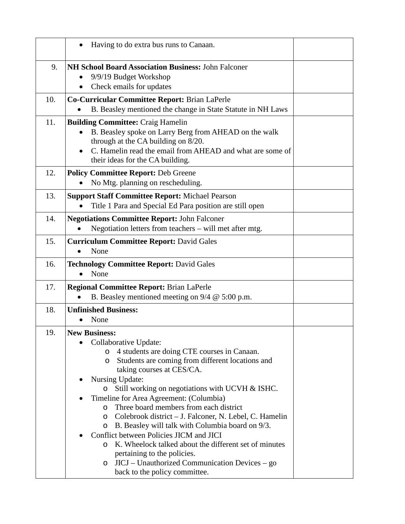| Having to do extra bus runs to Canaan.                                                                                                                                                                                                                                                                                                                                                                                                                                                                                                                                                                                                                                                    |                               |
|-------------------------------------------------------------------------------------------------------------------------------------------------------------------------------------------------------------------------------------------------------------------------------------------------------------------------------------------------------------------------------------------------------------------------------------------------------------------------------------------------------------------------------------------------------------------------------------------------------------------------------------------------------------------------------------------|-------------------------------|
| <b>NH School Board Association Business: John Falconer</b><br>9/9/19 Budget Workshop<br>Check emails for updates<br>٠                                                                                                                                                                                                                                                                                                                                                                                                                                                                                                                                                                     |                               |
| Co-Curricular Committee Report: Brian LaPerle<br>B. Beasley mentioned the change in State Statute in NH Laws                                                                                                                                                                                                                                                                                                                                                                                                                                                                                                                                                                              |                               |
| <b>Building Committee: Craig Hamelin</b><br>B. Beasley spoke on Larry Berg from AHEAD on the walk<br>through at the CA building on 8/20.<br>C. Hamelin read the email from AHEAD and what are some of<br>their ideas for the CA building.                                                                                                                                                                                                                                                                                                                                                                                                                                                 |                               |
| <b>Policy Committee Report: Deb Greene</b><br>No Mtg. planning on rescheduling.                                                                                                                                                                                                                                                                                                                                                                                                                                                                                                                                                                                                           |                               |
| <b>Support Staff Committee Report: Michael Pearson</b><br>Title 1 Para and Special Ed Para position are still open<br>$\bullet$                                                                                                                                                                                                                                                                                                                                                                                                                                                                                                                                                           |                               |
| <b>Negotiations Committee Report: John Falconer</b><br>Negotiation letters from teachers – will met after mtg.                                                                                                                                                                                                                                                                                                                                                                                                                                                                                                                                                                            |                               |
| <b>Curriculum Committee Report: David Gales</b><br>None<br>$\bullet$                                                                                                                                                                                                                                                                                                                                                                                                                                                                                                                                                                                                                      |                               |
| <b>Technology Committee Report: David Gales</b><br>None<br>$\bullet$                                                                                                                                                                                                                                                                                                                                                                                                                                                                                                                                                                                                                      |                               |
| <b>Regional Committee Report: Brian LaPerle</b><br>B. Beasley mentioned meeting on $9/4 \ @ 5:00 \text{ p.m.}$<br>$\bullet$                                                                                                                                                                                                                                                                                                                                                                                                                                                                                                                                                               |                               |
| <b>Unfinished Business:</b><br>None                                                                                                                                                                                                                                                                                                                                                                                                                                                                                                                                                                                                                                                       |                               |
| <b>New Business:</b><br>Collaborative Update:<br>4 students are doing CTE courses in Canaan.<br>O<br>Students are coming from different locations and<br>O<br>taking courses at CES/CA.<br>Nursing Update:<br>Still working on negotiations with UCVH & ISHC.<br>$\circ$<br>Timeline for Area Agreement: (Columbia)<br>Three board members from each district<br>O<br>Colebrook district – J. Falconer, N. Lebel, C. Hamelin<br>O<br>B. Beasley will talk with Columbia board on 9/3.<br>O<br>Conflict between Policies JICM and JICI<br>K. Wheelock talked about the different set of minutes<br>O<br>pertaining to the policies.<br>JICJ – Unauthorized Communication Devices – go<br>O |                               |
|                                                                                                                                                                                                                                                                                                                                                                                                                                                                                                                                                                                                                                                                                           | back to the policy committee. |